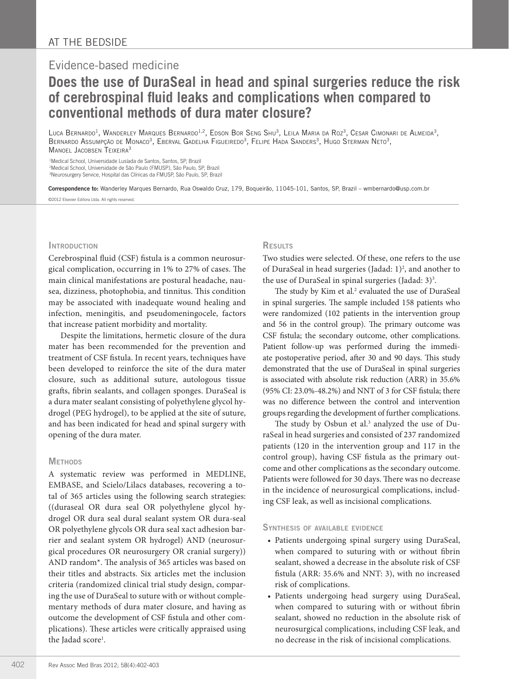## Evidence-based medicine

# **Does the use of DuraSeal in head and spinal surgeries reduce the risk of cerebrospinal fluid leaks and complications when compared to conventional methods of dura mater closure?**

Luca Bernardo<sup>1</sup>, Wanderley Marques Bernardo<sup>1,2</sup>, Edson Bor Seng Shu<sup>3</sup>, Leila Maria da Roz<sup>3</sup>, Cesar Cimonari de Almeida<sup>3</sup>, BERNARDO ASSUMPÇÃO DE MONACO<sup>3</sup>, EBERVAL GADELHA FIGUEIREDO<sup>3</sup>, FELIPE HADA SANDERS<sup>3</sup>, HUGO STERMAN NETO<sup>3</sup>, MANOEL JACOBSEN TEIXEIRA<sup>3</sup>

1 Medical School, Universidade Lusíada de Santos, Santos, SP, Brazil 2 Medical School, Universidade de São Paulo (FMUSP), São Paulo, SP, Brazil 3 Neurosurgery Service, Hospital das Clínicas da FMUSP, São Paulo, SP, Brazil

Correspondence to: Wanderley Marques Bernardo, Rua Oswaldo Cruz, 179, Boqueirão, 11045-101, Santos, SP, Brazil – wmbernardo@usp.com.br ©2012 Elsevier Editora Ltda. All rights reserved.

#### **INTRODUCTION**

Cerebrospinal fluid (CSF) fistula is a common neurosurgical complication, occurring in 1% to 27% of cases. The main clinical manifestations are postural headache, nausea, dizziness, photophobia, and tinnitus. This condition may be associated with inadequate wound healing and infection, meningitis, and pseudomeningocele, factors that increase patient morbidity and mortality.

Despite the limitations, hermetic closure of the dura mater has been recommended for the prevention and treatment of CSF fistula. In recent years, techniques have been developed to reinforce the site of the dura mater closure, such as additional suture, autologous tissue grafts, fibrin sealants, and collagen sponges. DuraSeal is a dura mater sealant consisting of polyethylene glycol hydrogel (PEG hydrogel), to be applied at the site of suture, and has been indicated for head and spinal surgery with opening of the dura mater.

### **METHODS**

A systematic review was performed in MEDLINE, EMBASE, and Scielo/Lilacs databases, recovering a total of 365 articles using the following search strategies: ((duraseal OR dura seal OR polyethylene glycol hydrogel OR dura seal dural sealant system OR dura-seal OR polyethylene glycols OR dura seal xact adhesion barrier and sealant system OR hydrogel) AND (neurosurgical procedures OR neurosurgery OR cranial surgery)) AND random\*. The analysis of 365 articles was based on their titles and abstracts. Six articles met the inclusion criteria (randomized clinical trial study design, comparing the use of DuraSeal to suture with or without complementary methods of dura mater closure, and having as outcome the development of CSF fistula and other complications). These articles were critically appraised using the Jadad score<sup>1</sup>.

#### **RESULTS**

Two studies were selected. Of these, one refers to the use of DuraSeal in head surgeries (Jadad:  $1$ <sup>2</sup>, and another to the use of DuraSeal in spinal surgeries (Jadad:  $3$ )<sup>3</sup>.

The study by Kim et al.<sup>2</sup> evaluated the use of DuraSeal in spinal surgeries. The sample included 158 patients who were randomized (102 patients in the intervention group and 56 in the control group). The primary outcome was CSF fistula; the secondary outcome, other complications. Patient follow-up was performed during the immediate postoperative period, after 30 and 90 days. This study demonstrated that the use of DuraSeal in spinal surgeries is associated with absolute risk reduction (ARR) in 35.6% (95% CI: 23.0%-48.2%) and NNT of 3 for CSF fistula; there was no difference between the control and intervention groups regarding the development of further complications.

The study by Osbun et al.<sup>3</sup> analyzed the use of DuraSeal in head surgeries and consisted of 237 randomized patients (120 in the intervention group and 117 in the control group), having CSF fistula as the primary outcome and other complications as the secondary outcome. Patients were followed for 30 days. There was no decrease in the incidence of neurosurgical complications, including CSF leak, as well as incisional complications.

### Synthesis of available evidence

- • Patients undergoing spinal surgery using DuraSeal, when compared to suturing with or without fibrin sealant, showed a decrease in the absolute risk of CSF fistula (ARR: 35.6% and NNT: 3), with no increased risk of complications.
- • Patients undergoing head surgery using DuraSeal, when compared to suturing with or without fibrin sealant, showed no reduction in the absolute risk of neurosurgical complications, including CSF leak, and no decrease in the risk of incisional complications.